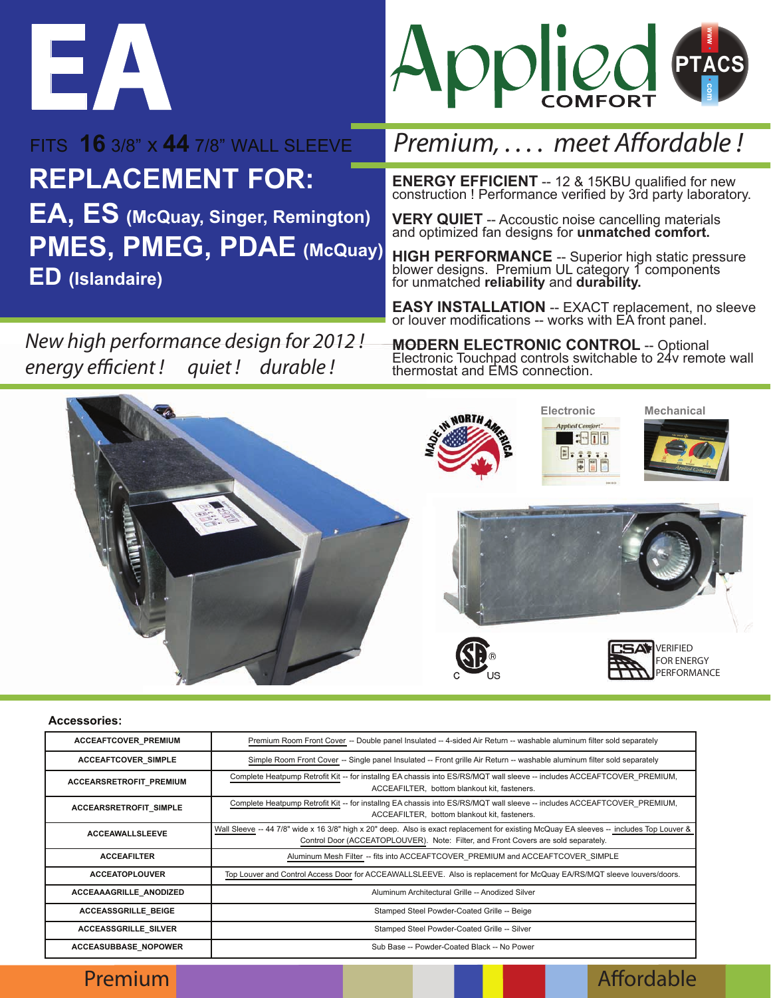



**REPLACEMENT FOR:** ENERGY EFFICIENT -- 12 & 15KBU qualified for new construction ! Performance verified by 3rd party laboratory.<br> **EA, ES** (McQuay, Singer, Remington) VERY QUIET -- Accoustic noise cancelling materials FITS **16** 3/8" x **44** 7/8" WALL SLEEVE **EA, ES (McQuay, Singer, Remington) PMES, PMEG, PDAE (McQuay)**

**ED (Islandaire)** 

*New high performance design for 2012 ! energy ecient ! quiet ! durable !*

## *Premium, .... meet Affordable!*

**VERY QUIET** -- Accoustic noise cancelling materials and optimized fan designs for **unmatched comfort.**

**HIGH PERFORMANCE** -- Superior high static pressure<br>blower designs. Premium UL category 1 components for unmatched **reliability** and **durability.**

**EASY INSTALLATION** -- EXACT replacement, no sleeve or louver modifications -- works with EA front panel.

**MODERN ELECTRONIC CONTROL** -- Optional Electronic Touchpad controls switchable to 24v remote wall thermostat and EMS connection.



## **Accessories:**

| ACCEAFTCOVER_PREMIUM       | Premium Room Front Cover -- Double panel Insulated -- 4-sided Air Return -- washable aluminum filter sold separately                                                                                                           |
|----------------------------|--------------------------------------------------------------------------------------------------------------------------------------------------------------------------------------------------------------------------------|
| <b>ACCEAFTCOVER SIMPLE</b> | Simple Room Front Cover -- Single panel Insulated -- Front grille Air Return -- washable aluminum filter sold separately                                                                                                       |
| ACCEARSRETROFIT_PREMIUM    | Complete Heatpump Retrofit Kit -- for instaling EA chassis into ES/RS/MQT wall sleeve -- includes ACCEAFTCOVER PREMIUM,<br>ACCEAFILTER. bottom blankout kit. fasteners.                                                        |
| ACCEARSRETROFIT SIMPLE     | Complete Heatpump Retrofit Kit -- for installng EA chassis into ES/RS/MQT wall sleeve -- includes ACCEAFTCOVER PREMIUM,<br>ACCEAFILTER, bottom blankout kit, fasteners.                                                        |
| <b>ACCEAWALLSLEEVE</b>     | Wall Sleeve -- 44 7/8" wide x 16 3/8" high x 20" deep. Also is exact replacement for existing McQuay EA sleeves -- includes Top Louver &<br>Control Door (ACCEATOPLOUVER). Note: Filter, and Front Covers are sold separately. |
| <b>ACCEAFILTER</b>         | Aluminum Mesh Filter -- fits into ACCEAFTCOVER PREMIUM and ACCEAFTCOVER SIMPLE                                                                                                                                                 |
| <b>ACCEATOPLOUVER</b>      | Top Louver and Control Access Door for ACCEAWALLSLEEVE. Also is replacement for McQuay EA/RS/MQT sleeve louvers/doors.                                                                                                         |
| ACCEAAAGRILLE_ANODIZED     | Aluminum Architectural Grille -- Anodized Silver                                                                                                                                                                               |
| <b>ACCEASSGRILLE BEIGE</b> | Stamped Steel Powder-Coated Grille -- Beige                                                                                                                                                                                    |
| ACCEASSGRILLE_SILVER       | Stamped Steel Powder-Coated Grille -- Silver                                                                                                                                                                                   |
| ACCEASUBBASE_NOPOWER       | Sub Base -- Powder-Coated Black -- No Power                                                                                                                                                                                    |

Premium and the state of the state of the state of the abre to the state of the Affordable